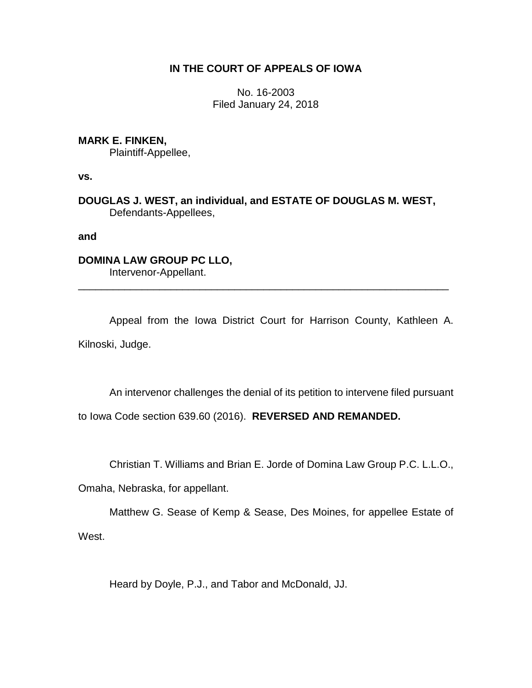# **IN THE COURT OF APPEALS OF IOWA**

No. 16-2003 Filed January 24, 2018

## **MARK E. FINKEN,**

Plaintiff-Appellee,

**vs.**

**DOUGLAS J. WEST, an individual, and ESTATE OF DOUGLAS M. WEST,** Defendants-Appellees,

**and**

# **DOMINA LAW GROUP PC LLO,**

Intervenor-Appellant. \_\_\_\_\_\_\_\_\_\_\_\_\_\_\_\_\_\_\_\_\_\_\_\_\_\_\_\_\_\_\_\_\_\_\_\_\_\_\_\_\_\_\_\_\_\_\_\_\_\_\_\_\_\_\_\_\_\_\_\_\_\_\_\_

Appeal from the Iowa District Court for Harrison County, Kathleen A. Kilnoski, Judge.

An intervenor challenges the denial of its petition to intervene filed pursuant

to Iowa Code section 639.60 (2016). **REVERSED AND REMANDED.**

Christian T. Williams and Brian E. Jorde of Domina Law Group P.C. L.L.O.,

Omaha, Nebraska, for appellant.

Matthew G. Sease of Kemp & Sease, Des Moines, for appellee Estate of West.

Heard by Doyle, P.J., and Tabor and McDonald, JJ.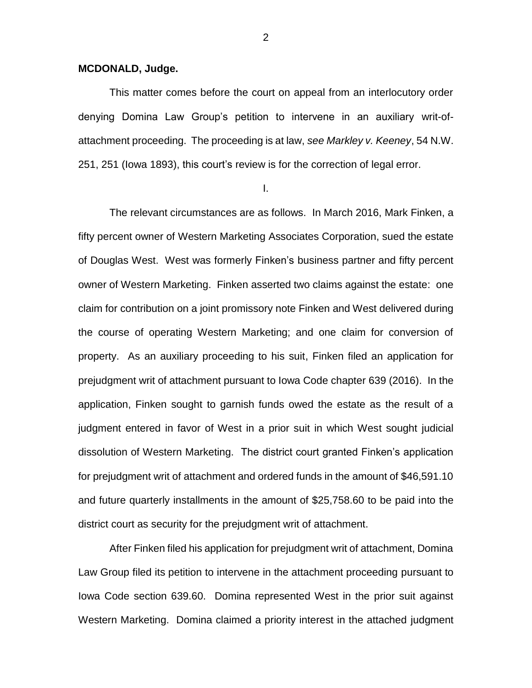## **MCDONALD, Judge.**

This matter comes before the court on appeal from an interlocutory order denying Domina Law Group's petition to intervene in an auxiliary writ-ofattachment proceeding. The proceeding is at law, *see Markley v. Keeney*, 54 N.W. 251, 251 (Iowa 1893), this court's review is for the correction of legal error.

I.

The relevant circumstances are as follows. In March 2016, Mark Finken, a fifty percent owner of Western Marketing Associates Corporation, sued the estate of Douglas West. West was formerly Finken's business partner and fifty percent owner of Western Marketing. Finken asserted two claims against the estate: one claim for contribution on a joint promissory note Finken and West delivered during the course of operating Western Marketing; and one claim for conversion of property. As an auxiliary proceeding to his suit, Finken filed an application for prejudgment writ of attachment pursuant to Iowa Code chapter 639 (2016). In the application, Finken sought to garnish funds owed the estate as the result of a judgment entered in favor of West in a prior suit in which West sought judicial dissolution of Western Marketing. The district court granted Finken's application for prejudgment writ of attachment and ordered funds in the amount of \$46,591.10 and future quarterly installments in the amount of \$25,758.60 to be paid into the district court as security for the prejudgment writ of attachment.

After Finken filed his application for prejudgment writ of attachment, Domina Law Group filed its petition to intervene in the attachment proceeding pursuant to Iowa Code section 639.60. Domina represented West in the prior suit against Western Marketing. Domina claimed a priority interest in the attached judgment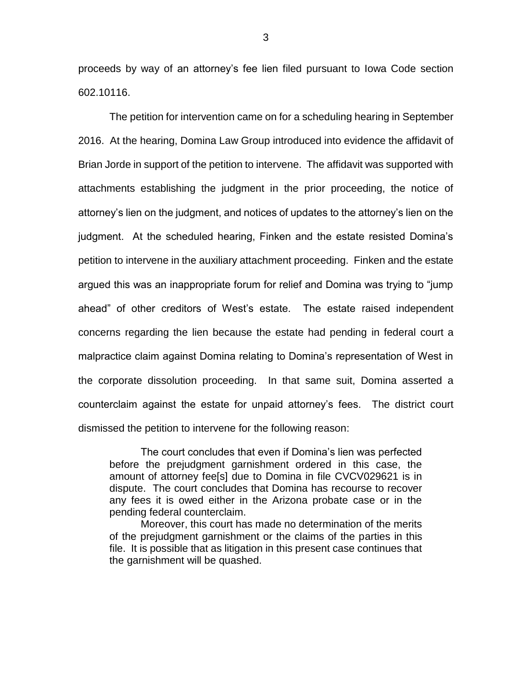proceeds by way of an attorney's fee lien filed pursuant to Iowa Code section 602.10116.

The petition for intervention came on for a scheduling hearing in September 2016. At the hearing, Domina Law Group introduced into evidence the affidavit of Brian Jorde in support of the petition to intervene. The affidavit was supported with attachments establishing the judgment in the prior proceeding, the notice of attorney's lien on the judgment, and notices of updates to the attorney's lien on the judgment. At the scheduled hearing, Finken and the estate resisted Domina's petition to intervene in the auxiliary attachment proceeding. Finken and the estate argued this was an inappropriate forum for relief and Domina was trying to "jump ahead" of other creditors of West's estate. The estate raised independent concerns regarding the lien because the estate had pending in federal court a malpractice claim against Domina relating to Domina's representation of West in the corporate dissolution proceeding. In that same suit, Domina asserted a counterclaim against the estate for unpaid attorney's fees. The district court dismissed the petition to intervene for the following reason:

The court concludes that even if Domina's lien was perfected before the prejudgment garnishment ordered in this case, the amount of attorney fee[s] due to Domina in file CVCV029621 is in dispute. The court concludes that Domina has recourse to recover any fees it is owed either in the Arizona probate case or in the pending federal counterclaim.

Moreover, this court has made no determination of the merits of the prejudgment garnishment or the claims of the parties in this file. It is possible that as litigation in this present case continues that the garnishment will be quashed.

3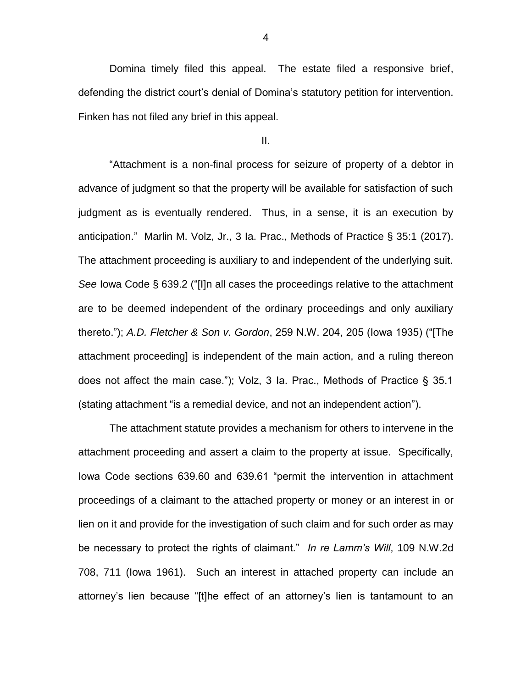Domina timely filed this appeal. The estate filed a responsive brief, defending the district court's denial of Domina's statutory petition for intervention. Finken has not filed any brief in this appeal.

II.

"Attachment is a non-final process for seizure of property of a debtor in advance of judgment so that the property will be available for satisfaction of such judgment as is eventually rendered. Thus, in a sense, it is an execution by anticipation." Marlin M. Volz, Jr., 3 Ia. Prac., Methods of Practice § 35:1 (2017). The attachment proceeding is auxiliary to and independent of the underlying suit. *See* Iowa Code § 639.2 ("[I]n all cases the proceedings relative to the attachment are to be deemed independent of the ordinary proceedings and only auxiliary thereto."); *A.D. Fletcher & Son v. Gordon*, 259 N.W. 204, 205 (Iowa 1935) ("[The attachment proceeding] is independent of the main action, and a ruling thereon does not affect the main case."); Volz, 3 Ia. Prac., Methods of Practice § 35.1 (stating attachment "is a remedial device, and not an independent action").

The attachment statute provides a mechanism for others to intervene in the attachment proceeding and assert a claim to the property at issue. Specifically, Iowa Code sections 639.60 and 639.61 "permit the intervention in attachment proceedings of a claimant to the attached property or money or an interest in or lien on it and provide for the investigation of such claim and for such order as may be necessary to protect the rights of claimant." *In re Lamm's Will*, 109 N.W.2d 708, 711 (Iowa 1961). Such an interest in attached property can include an attorney's lien because "[t]he effect of an attorney's lien is tantamount to an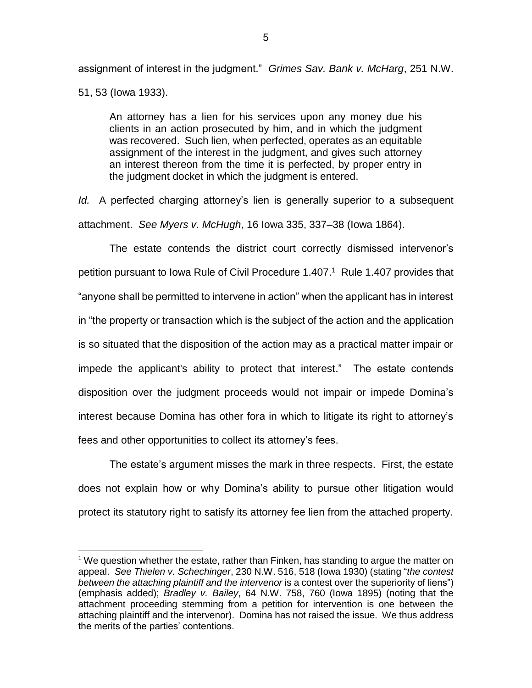assignment of interest in the judgment." *Grimes Sav. Bank v. McHarg*, 251 N.W. 51, 53 (Iowa 1933).

An attorney has a lien for his services upon any money due his clients in an action prosecuted by him, and in which the judgment was recovered. Such lien, when perfected, operates as an equitable assignment of the interest in the judgment, and gives such attorney an interest thereon from the time it is perfected, by proper entry in the judgment docket in which the judgment is entered.

*Id.* A perfected charging attorney's lien is generally superior to a subsequent attachment. *See Myers v. McHugh*, 16 Iowa 335, 337–38 (Iowa 1864).

The estate contends the district court correctly dismissed intervenor's petition pursuant to Iowa Rule of Civil Procedure 1.407. 1 Rule 1.407 provides that "anyone shall be permitted to intervene in action" when the applicant has in interest in "the property or transaction which is the subject of the action and the application is so situated that the disposition of the action may as a practical matter impair or impede the applicant's ability to protect that interest." The estate contends disposition over the judgment proceeds would not impair or impede Domina's interest because Domina has other fora in which to litigate its right to attorney's fees and other opportunities to collect its attorney's fees.

The estate's argument misses the mark in three respects. First, the estate does not explain how or why Domina's ability to pursue other litigation would protect its statutory right to satisfy its attorney fee lien from the attached property.

 $\overline{a}$ 

 $1$  We question whether the estate, rather than Finken, has standing to arque the matter on appeal. *See Thielen v. Schechinger*, 230 N.W. 516, 518 (Iowa 1930) (stating "*the contest between the attaching plaintiff and the intervenor* is a contest over the superiority of liens") (emphasis added); *Bradley v. Bailey*, 64 N.W. 758, 760 (Iowa 1895) (noting that the attachment proceeding stemming from a petition for intervention is one between the attaching plaintiff and the intervenor). Domina has not raised the issue. We thus address the merits of the parties' contentions.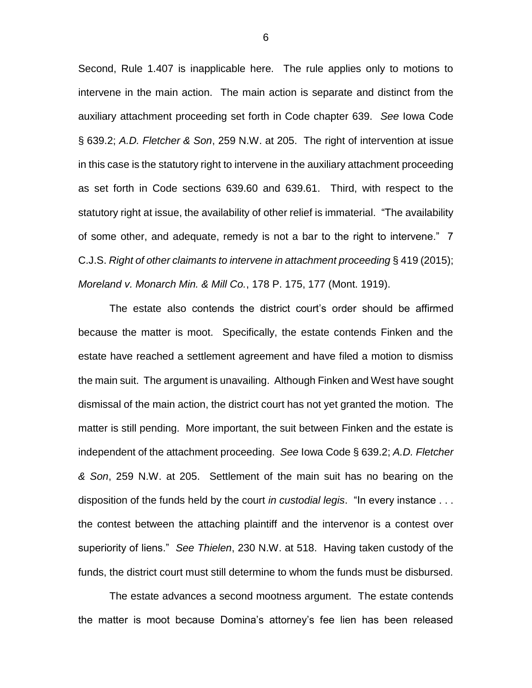Second, Rule 1.407 is inapplicable here. The rule applies only to motions to intervene in the main action. The main action is separate and distinct from the auxiliary attachment proceeding set forth in Code chapter 639. *See* Iowa Code § 639.2; *A.D. Fletcher & Son*, 259 N.W. at 205. The right of intervention at issue in this case is the statutory right to intervene in the auxiliary attachment proceeding as set forth in Code sections 639.60 and 639.61. Third, with respect to the statutory right at issue, the availability of other relief is immaterial. "The availability of some other, and adequate, remedy is not a bar to the right to intervene." 7 C.J.S. *Right of other claimants to intervene in attachment proceeding* § 419 (2015); *Moreland v. Monarch Min. & Mill Co.*, 178 P. 175, 177 (Mont. 1919).

The estate also contends the district court's order should be affirmed because the matter is moot. Specifically, the estate contends Finken and the estate have reached a settlement agreement and have filed a motion to dismiss the main suit. The argument is unavailing. Although Finken and West have sought dismissal of the main action, the district court has not yet granted the motion. The matter is still pending. More important, the suit between Finken and the estate is independent of the attachment proceeding. *See* Iowa Code § 639.2; *A.D. Fletcher & Son*, 259 N.W. at 205. Settlement of the main suit has no bearing on the disposition of the funds held by the court *in custodial legis*. "In every instance . . . the contest between the attaching plaintiff and the intervenor is a contest over superiority of liens." *See Thielen*, 230 N.W. at 518. Having taken custody of the funds, the district court must still determine to whom the funds must be disbursed.

The estate advances a second mootness argument. The estate contends the matter is moot because Domina's attorney's fee lien has been released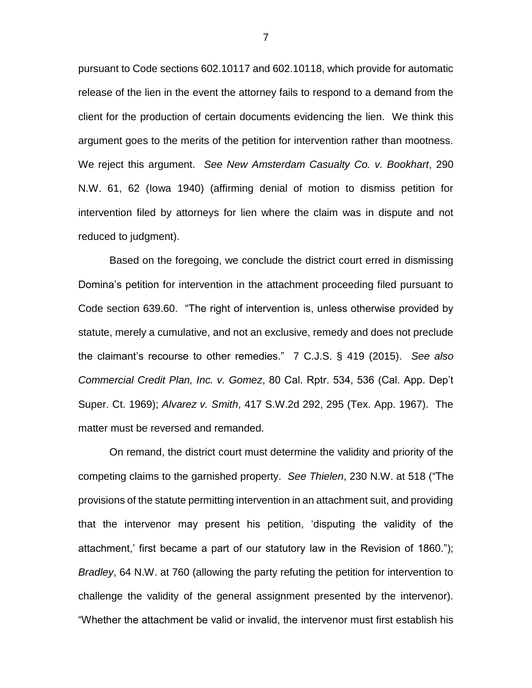pursuant to Code sections 602.10117 and 602.10118, which provide for automatic release of the lien in the event the attorney fails to respond to a demand from the client for the production of certain documents evidencing the lien. We think this argument goes to the merits of the petition for intervention rather than mootness. We reject this argument. *See New Amsterdam Casualty Co. v. Bookhart*, 290 N.W. 61, 62 (Iowa 1940) (affirming denial of motion to dismiss petition for intervention filed by attorneys for lien where the claim was in dispute and not reduced to judgment).

Based on the foregoing, we conclude the district court erred in dismissing Domina's petition for intervention in the attachment proceeding filed pursuant to Code section 639.60. "The right of intervention is, unless otherwise provided by statute, merely a cumulative, and not an exclusive, remedy and does not preclude the claimant's recourse to other remedies." 7 C.J.S. § 419 (2015). *See also Commercial Credit Plan, Inc. v. Gomez*, 80 Cal. Rptr. 534, 536 (Cal. App. Dep't Super. Ct. 1969); *Alvarez v. Smith*, 417 S.W.2d 292, 295 (Tex. App. 1967). The matter must be reversed and remanded.

On remand, the district court must determine the validity and priority of the competing claims to the garnished property. *See Thielen*, 230 N.W. at 518 ("The provisions of the statute permitting intervention in an attachment suit, and providing that the intervenor may present his petition, 'disputing the validity of the attachment,' first became a part of our statutory law in the Revision of 1860."); *Bradley*, 64 N.W. at 760 (allowing the party refuting the petition for intervention to challenge the validity of the general assignment presented by the intervenor). "Whether the attachment be valid or invalid, the intervenor must first establish his

7